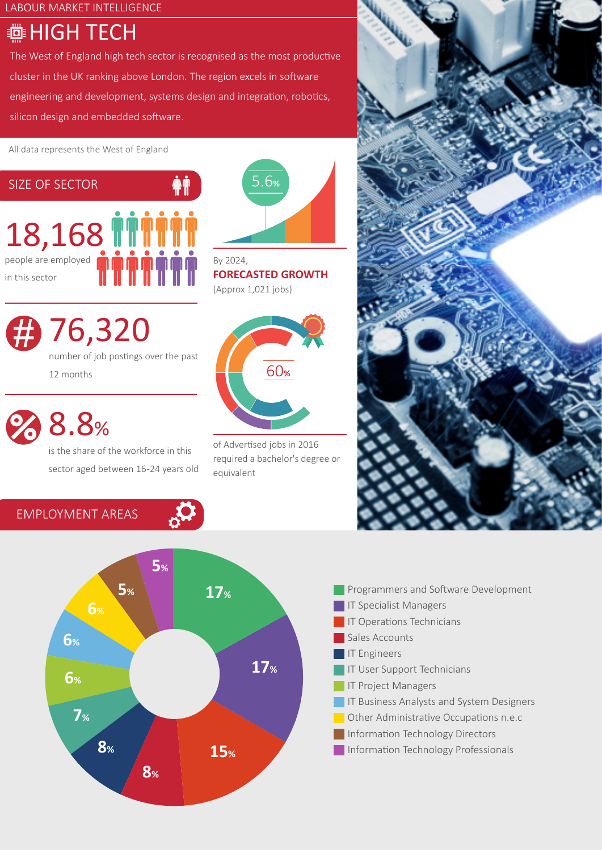LABOUR MARKET INTELLIGENCE

# **@HIGH TECH**

The West of England high tech sector is recognised as the most productive cluster in the UK ranking above London. The region excels in software engineering and development, systems design and integration, robotics, silicon design and embedded software.

All data represents the West of England



76,320 number of job postings over the past 12 months

8.8%

EMPLOYMENT AREAS

is the share of the workforce in this sector aged between 16-24 years old



By 2024, **FORECASTED GROWTH** (Approx 1,021 jobs)



of Advertised jobs in 2016 required a bachelor's degree or equivalent





- Programmers and Software Development **IT Specialist Managers** IT Operations Technicians Sales Accounts **IT Engineers** IT User Support Technicians IT Project Managers **IF Business Analysts and System Designers Other Administrative Occupations n.e.c Information Technology Directors**
- **Information Technology Professionals**